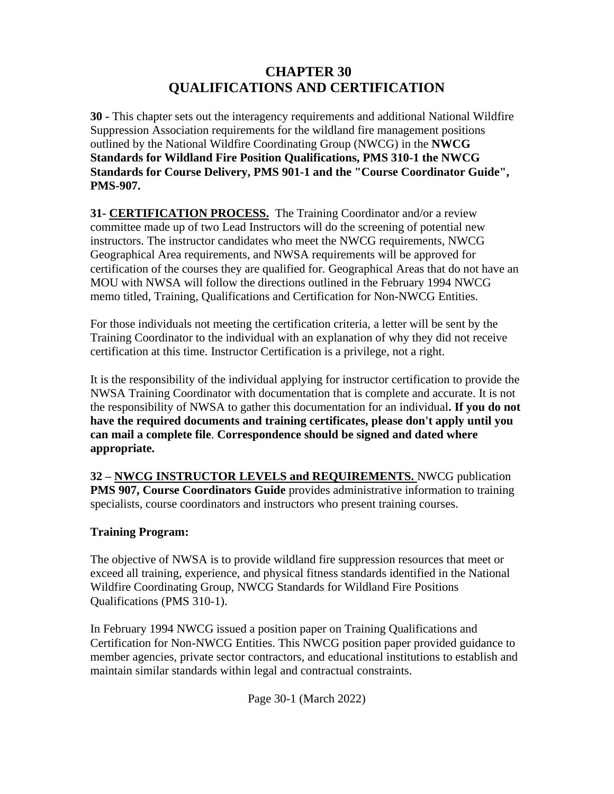# **CHAPTER 30 QUALIFICATIONS AND CERTIFICATION**

**30 -** This chapter sets out the interagency requirements and additional National Wildfire Suppression Association requirements for the wildland fire management positions outlined by the National Wildfire Coordinating Group (NWCG) in the **NWCG Standards for Wildland Fire Position Qualifications, PMS 310-1 the NWCG Standards for Course Delivery, PMS 901-1 and the "Course Coordinator Guide", PMS-907.**

**31- CERTIFICATION PROCESS.** The Training Coordinator and/or a review committee made up of two Lead Instructors will do the screening of potential new instructors. The instructor candidates who meet the NWCG requirements, NWCG Geographical Area requirements, and NWSA requirements will be approved for certification of the courses they are qualified for. Geographical Areas that do not have an MOU with NWSA will follow the directions outlined in the February 1994 NWCG memo titled, Training, Qualifications and Certification for Non-NWCG Entities.

For those individuals not meeting the certification criteria, a letter will be sent by the Training Coordinator to the individual with an explanation of why they did not receive certification at this time. Instructor Certification is a privilege, not a right.

It is the responsibility of the individual applying for instructor certification to provide the NWSA Training Coordinator with documentation that is complete and accurate. It is not the responsibility of NWSA to gather this documentation for an individual**. If you do not have the required documents and training certificates, please don't apply until you can mail a complete file**. **Correspondence should be signed and dated where appropriate.**

**32 – NWCG INSTRUCTOR LEVELS and REQUIREMENTS.** NWCG publication **PMS 907, Course Coordinators Guide** provides administrative information to training specialists, course coordinators and instructors who present training courses.

# **Training Program:**

The objective of NWSA is to provide wildland fire suppression resources that meet or exceed all training, experience, and physical fitness standards identified in the National Wildfire Coordinating Group, NWCG Standards for Wildland Fire Positions Qualifications (PMS 310-1).

In February 1994 NWCG issued a position paper on Training Qualifications and Certification for Non-NWCG Entities. This NWCG position paper provided guidance to member agencies, private sector contractors, and educational institutions to establish and maintain similar standards within legal and contractual constraints.

Page 30-1 (March 2022)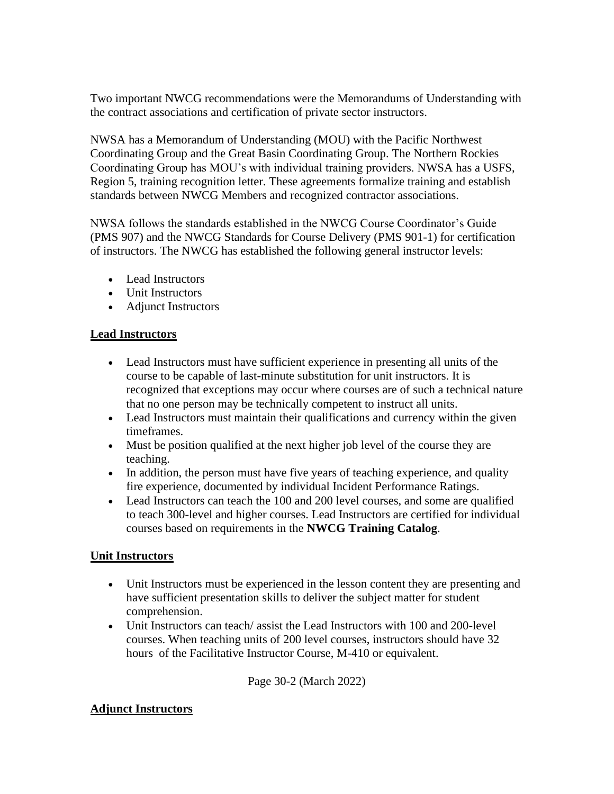Two important NWCG recommendations were the Memorandums of Understanding with the contract associations and certification of private sector instructors.

NWSA has a Memorandum of Understanding (MOU) with the Pacific Northwest Coordinating Group and the Great Basin Coordinating Group. The Northern Rockies Coordinating Group has MOU's with individual training providers. NWSA has a USFS, Region 5, training recognition letter. These agreements formalize training and establish standards between NWCG Members and recognized contractor associations.

NWSA follows the standards established in the NWCG Course Coordinator's Guide (PMS 907) and the NWCG Standards for Course Delivery (PMS 901-1) for certification of instructors. The NWCG has established the following general instructor levels:

- Lead Instructors
- Unit Instructors
- Adjunct Instructors

### **Lead Instructors**

- Lead Instructors must have sufficient experience in presenting all units of the course to be capable of last-minute substitution for unit instructors. It is recognized that exceptions may occur where courses are of such a technical nature that no one person may be technically competent to instruct all units.
- Lead Instructors must maintain their qualifications and currency within the given timeframes.
- Must be position qualified at the next higher job level of the course they are teaching.
- In addition, the person must have five years of teaching experience, and quality fire experience, documented by individual Incident Performance Ratings.
- Lead Instructors can teach the 100 and 200 level courses, and some are qualified to teach 300-level and higher courses. Lead Instructors are certified for individual courses based on requirements in the **NWCG Training Catalog**.

### **Unit Instructors**

- Unit Instructors must be experienced in the lesson content they are presenting and have sufficient presentation skills to deliver the subject matter for student comprehension.
- Unit Instructors can teach/ assist the Lead Instructors with 100 and 200-level courses. When teaching units of 200 level courses, instructors should have 32 hours of the Facilitative Instructor Course, M-410 or equivalent.

Page 30-2 (March 2022)

### **Adjunct Instructors**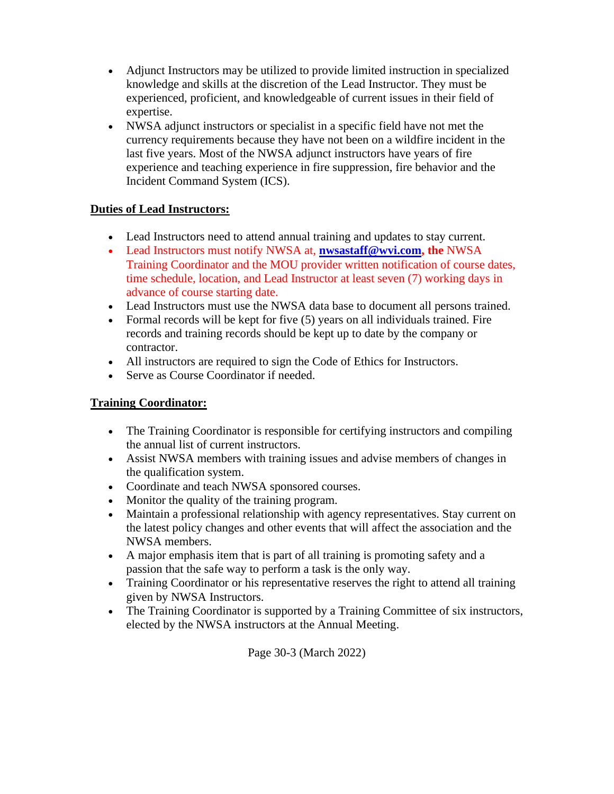- Adjunct Instructors may be utilized to provide limited instruction in specialized knowledge and skills at the discretion of the Lead Instructor. They must be experienced, proficient, and knowledgeable of current issues in their field of expertise.
- NWSA adjunct instructors or specialist in a specific field have not met the currency requirements because they have not been on a wildfire incident in the last five years. Most of the NWSA adjunct instructors have years of fire experience and teaching experience in fire suppression, fire behavior and the Incident Command System (ICS).

# **Duties of Lead Instructors:**

- Lead Instructors need to attend annual training and updates to stay current.
- Lead Instructors must notify NWSA at, **[nwsastaff@wvi.com,](mailto:nwsastaff@wvi.com) the** NWSA Training Coordinator and the MOU provider written notification of course dates, time schedule, location, and Lead Instructor at least seven (7) working days in advance of course starting date.
- Lead Instructors must use the NWSA data base to document all persons trained.
- Formal records will be kept for five (5) years on all individuals trained. Fire records and training records should be kept up to date by the company or contractor.
- All instructors are required to sign the Code of Ethics for Instructors.
- Serve as Course Coordinator if needed.

# **Training Coordinator:**

- The Training Coordinator is responsible for certifying instructors and compiling the annual list of current instructors.
- Assist NWSA members with training issues and advise members of changes in the qualification system.
- Coordinate and teach NWSA sponsored courses.
- Monitor the quality of the training program.
- Maintain a professional relationship with agency representatives. Stay current on the latest policy changes and other events that will affect the association and the NWSA members.
- A major emphasis item that is part of all training is promoting safety and a passion that the safe way to perform a task is the only way.
- Training Coordinator or his representative reserves the right to attend all training given by NWSA Instructors.
- The Training Coordinator is supported by a Training Committee of six instructors, elected by the NWSA instructors at the Annual Meeting.

Page 30-3 (March 2022)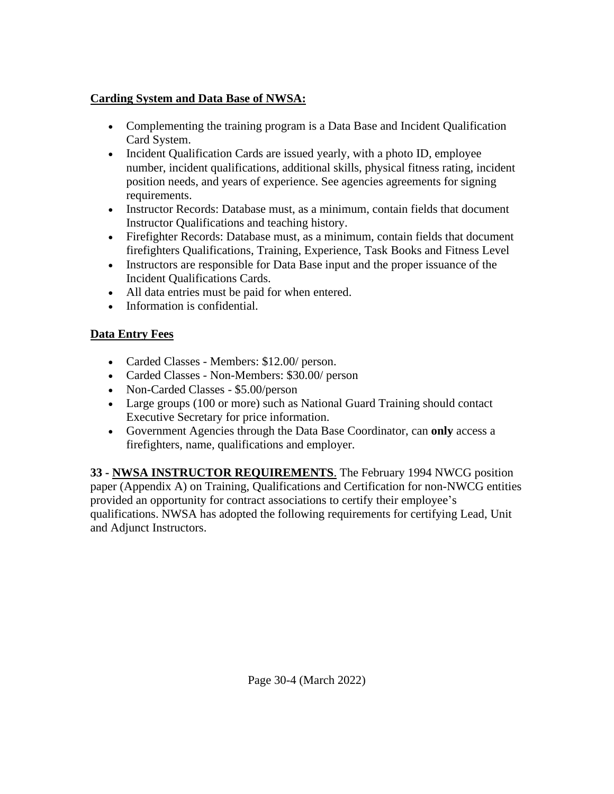# **Carding System and Data Base of NWSA:**

- Complementing the training program is a Data Base and Incident Qualification Card System.
- Incident Qualification Cards are issued yearly, with a photo ID, employee number, incident qualifications, additional skills, physical fitness rating, incident position needs, and years of experience. See agencies agreements for signing requirements.
- Instructor Records: Database must, as a minimum, contain fields that document Instructor Qualifications and teaching history.
- Firefighter Records: Database must, as a minimum, contain fields that document firefighters Qualifications, Training, Experience, Task Books and Fitness Level
- Instructors are responsible for Data Base input and the proper issuance of the Incident Qualifications Cards.
- All data entries must be paid for when entered.
- Information is confidential.

# **Data Entry Fees**

- Carded Classes Members: \$12.00/ person.
- Carded Classes Non-Members: \$30.00/ person
- Non-Carded Classes \$5.00/person
- Large groups (100 or more) such as National Guard Training should contact Executive Secretary for price information.
- Government Agencies through the Data Base Coordinator, can **only** access a firefighters, name, qualifications and employer.

**33 - NWSA INSTRUCTOR REQUIREMENTS**. The February 1994 NWCG position paper (Appendix A) on Training, Qualifications and Certification for non-NWCG entities provided an opportunity for contract associations to certify their employee's qualifications. NWSA has adopted the following requirements for certifying Lead, Unit and Adjunct Instructors.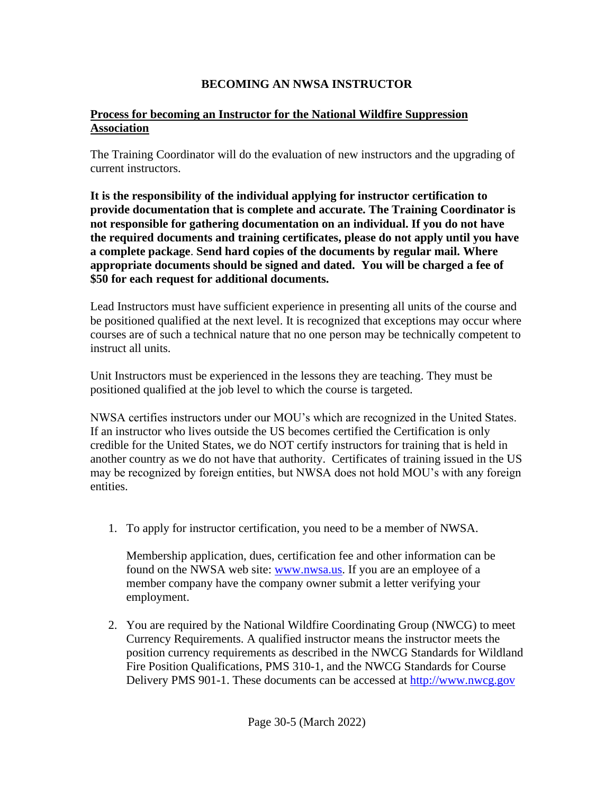# **BECOMING AN NWSA INSTRUCTOR**

# **Process for becoming an Instructor for the National Wildfire Suppression Association**

The Training Coordinator will do the evaluation of new instructors and the upgrading of current instructors.

**It is the responsibility of the individual applying for instructor certification to provide documentation that is complete and accurate. The Training Coordinator is not responsible for gathering documentation on an individual. If you do not have the required documents and training certificates, please do not apply until you have a complete package**. **Send hard copies of the documents by regular mail. Where appropriate documents should be signed and dated. You will be charged a fee of \$50 for each request for additional documents.**

Lead Instructors must have sufficient experience in presenting all units of the course and be positioned qualified at the next level. It is recognized that exceptions may occur where courses are of such a technical nature that no one person may be technically competent to instruct all units.

Unit Instructors must be experienced in the lessons they are teaching. They must be positioned qualified at the job level to which the course is targeted.

NWSA certifies instructors under our MOU's which are recognized in the United States. If an instructor who lives outside the US becomes certified the Certification is only credible for the United States, we do NOT certify instructors for training that is held in another country as we do not have that authority. Certificates of training issued in the US may be recognized by foreign entities, but NWSA does not hold MOU's with any foreign entities.

1. To apply for instructor certification, you need to be a member of NWSA.

 Membership application, dues, certification fee and other information can be found on the NWSA web site: [www.nwsa.us.](http://www.nwsa.us/) If you are an employee of a member company have the company owner submit a letter verifying your employment.

2. You are required by the National Wildfire Coordinating Group (NWCG) to meet Currency Requirements. A qualified instructor means the instructor meets the position currency requirements as described in the NWCG Standards for Wildland Fire Position Qualifications, PMS 310-1, and the NWCG Standards for Course Delivery PMS 901-1. These documents can be accessed at [http://www.nwcg.gov](http://www.nwcg.gov/)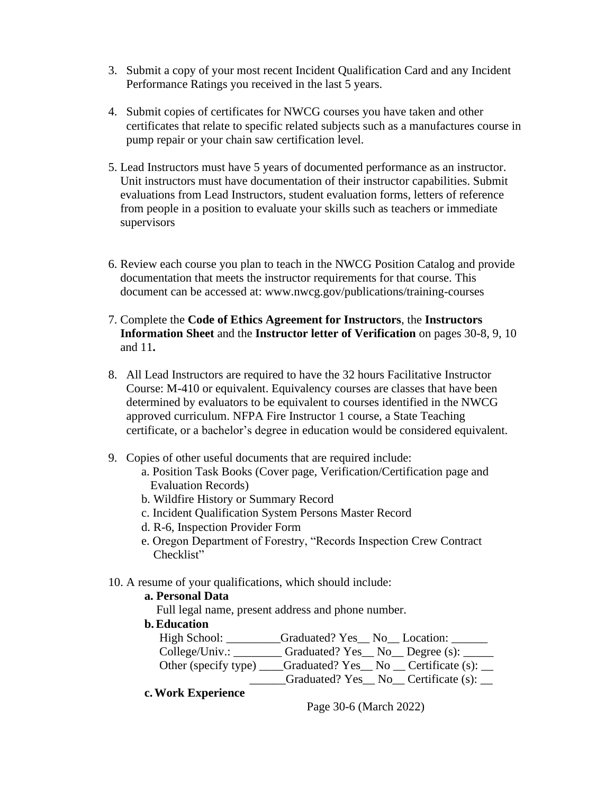- 3. Submit a copy of your most recent Incident Qualification Card and any Incident Performance Ratings you received in the last 5 years.
- 4. Submit copies of certificates for NWCG courses you have taken and other certificates that relate to specific related subjects such as a manufactures course in pump repair or your chain saw certification level.
- 5. Lead Instructors must have 5 years of documented performance as an instructor. Unit instructors must have documentation of their instructor capabilities. Submit evaluations from Lead Instructors, student evaluation forms, letters of reference from people in a position to evaluate your skills such as teachers or immediate supervisors
- 6. Review each course you plan to teach in the NWCG Position Catalog and provide documentation that meets the instructor requirements for that course. This document can be accessed at: www.nwcg.gov/publications/training-courses
- 7. Complete the **Code of Ethics Agreement for Instructors**, the **Instructors Information Sheet** and the **Instructor letter of Verification** on pages 30-8, 9, 10 and 11**.**
- 8. All Lead Instructors are required to have the 32 hours Facilitative Instructor Course: M-410 or equivalent. Equivalency courses are classes that have been determined by evaluators to be equivalent to courses identified in the NWCG approved curriculum. NFPA Fire Instructor 1 course, a State Teaching certificate, or a bachelor's degree in education would be considered equivalent.
- 9. Copies of other useful documents that are required include:
	- a. Position Task Books (Cover page, Verification/Certification page and Evaluation Records)
	- b. Wildfire History or Summary Record
	- c. Incident Qualification System Persons Master Record
	- d. R-6, Inspection Provider Form
	- e. Oregon Department of Forestry, "Records Inspection Crew Contract Checklist"
- 10. A resume of your qualifications, which should include:

# **a. Personal Data**

Full legal name, present address and phone number.

## **b.Education**

|                      | Graduated? Yes_No_Location: __                                      |
|----------------------|---------------------------------------------------------------------|
|                      | College/Univ.: __________ Graduated? Yes __ No __ Degree (s): _____ |
| Other (specify type) | $_$ Graduated? Yes $_$ No $_$ Certificate (s): $_$                  |
|                      | _Graduated? Yes__ No__ Certificate (s): __                          |

**c.Work Experience**

Page 30-6 (March 2022)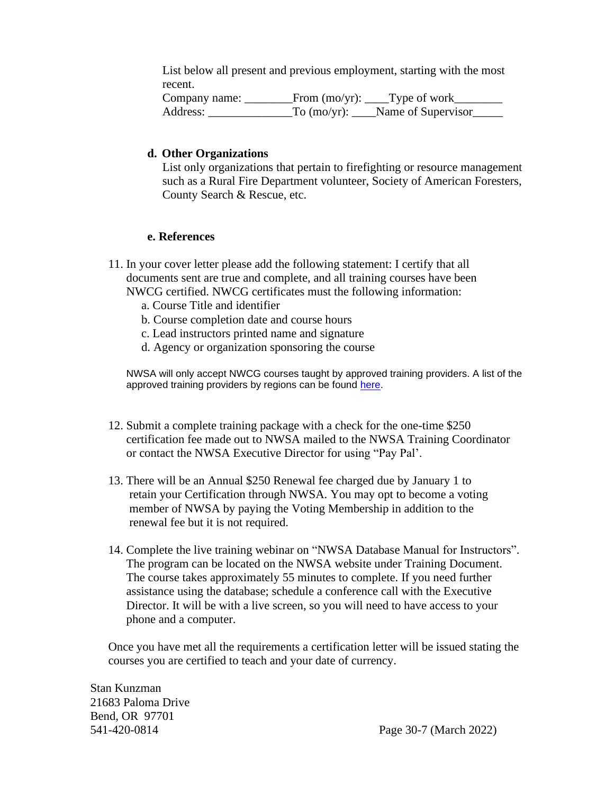List below all present and previous employment, starting with the most recent.

Company name: \_\_\_\_\_\_\_\_\_From (mo/yr): \_\_\_\_Type of work\_\_\_\_\_\_\_\_\_ Address: \_\_\_\_\_\_\_\_\_\_\_\_\_\_\_\_\_To (mo/yr): \_\_\_\_Name of Supervisor\_\_\_\_\_\_

#### **d. Other Organizations**

List only organizations that pertain to firefighting or resource management such as a Rural Fire Department volunteer, Society of American Foresters, County Search & Rescue, etc.

#### **e. References**

- 11. In your cover letter please add the following statement: I certify that all documents sent are true and complete, and all training courses have been NWCG certified. NWCG certificates must the following information:
	- a. Course Title and identifier
	- b. Course completion date and course hours
	- c. Lead instructors printed name and signature
	- d. Agency or organization sponsoring the course

NWSA will only accept NWCG courses taught by approved training providers. A list of the approved training providers by regions can be found [here.](https://docs.google.com/spreadsheets/d/1q_OPaHphmksaub6fKxbFGzmZ1GP1vHyu/edi)

- 12. Submit a complete training package with a check for the one-time \$250 certification fee made out to NWSA mailed to the NWSA Training Coordinator or contact the NWSA Executive Director for using "Pay Pal'.
- 13. There will be an Annual \$250 Renewal fee charged due by January 1 to retain your Certification through NWSA. You may opt to become a voting member of NWSA by paying the Voting Membership in addition to the renewal fee but it is not required.
- 14. Complete the live training webinar on "NWSA Database Manual for Instructors". The program can be located on the NWSA website under Training Document. The course takes approximately 55 minutes to complete. If you need further assistance using the database; schedule a conference call with the Executive Director. It will be with a live screen, so you will need to have access to your phone and a computer.

 Once you have met all the requirements a certification letter will be issued stating the courses you are certified to teach and your date of currency.

Stan Kunzman 21683 Paloma Drive Bend, OR 97701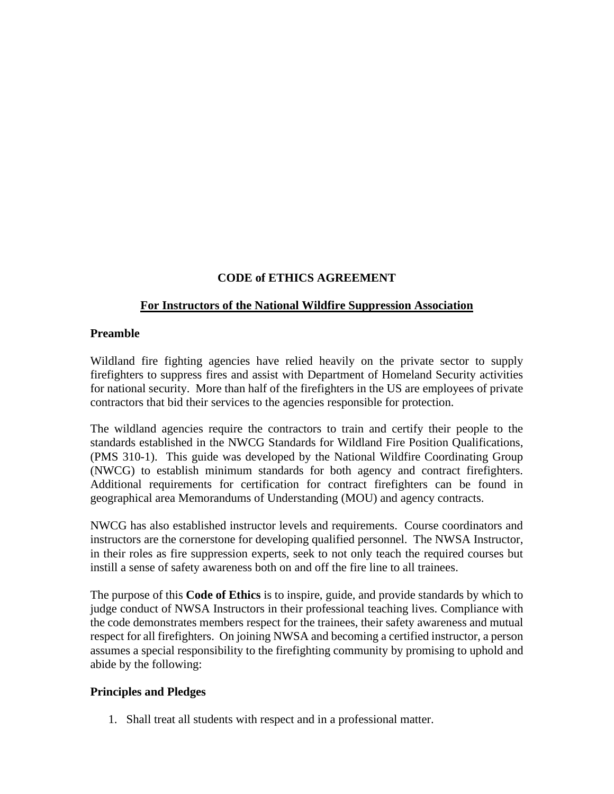## **CODE of ETHICS AGREEMENT**

### **For Instructors of the National Wildfire Suppression Association**

#### **Preamble**

Wildland fire fighting agencies have relied heavily on the private sector to supply firefighters to suppress fires and assist with Department of Homeland Security activities for national security. More than half of the firefighters in the US are employees of private contractors that bid their services to the agencies responsible for protection.

The wildland agencies require the contractors to train and certify their people to the standards established in the NWCG Standards for Wildland Fire Position Qualifications, (PMS 310-1). This guide was developed by the National Wildfire Coordinating Group (NWCG) to establish minimum standards for both agency and contract firefighters. Additional requirements for certification for contract firefighters can be found in geographical area Memorandums of Understanding (MOU) and agency contracts.

NWCG has also established instructor levels and requirements. Course coordinators and instructors are the cornerstone for developing qualified personnel. The NWSA Instructor, in their roles as fire suppression experts, seek to not only teach the required courses but instill a sense of safety awareness both on and off the fire line to all trainees.

The purpose of this **Code of Ethics** is to inspire, guide, and provide standards by which to judge conduct of NWSA Instructors in their professional teaching lives. Compliance with the code demonstrates members respect for the trainees, their safety awareness and mutual respect for all firefighters. On joining NWSA and becoming a certified instructor, a person assumes a special responsibility to the firefighting community by promising to uphold and abide by the following:

### **Principles and Pledges**

1. Shall treat all students with respect and in a professional matter.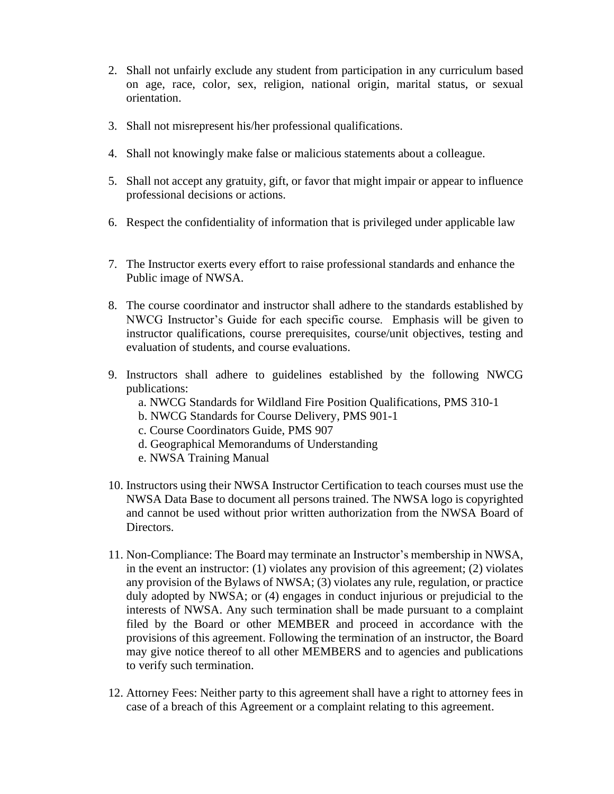- 2. Shall not unfairly exclude any student from participation in any curriculum based on age, race, color, sex, religion, national origin, marital status, or sexual orientation.
- 3. Shall not misrepresent his/her professional qualifications.
- 4. Shall not knowingly make false or malicious statements about a colleague.
- 5. Shall not accept any gratuity, gift, or favor that might impair or appear to influence professional decisions or actions.
- 6. Respect the confidentiality of information that is privileged under applicable law
- 7. The Instructor exerts every effort to raise professional standards and enhance the Public image of NWSA.
- 8. The course coordinator and instructor shall adhere to the standards established by NWCG Instructor's Guide for each specific course. Emphasis will be given to instructor qualifications, course prerequisites, course/unit objectives, testing and evaluation of students, and course evaluations.
- 9. Instructors shall adhere to guidelines established by the following NWCG publications:
	- a. NWCG Standards for Wildland Fire Position Qualifications, PMS 310-1
	- b. NWCG Standards for Course Delivery, PMS 901-1
	- c. Course Coordinators Guide, PMS 907
	- d. Geographical Memorandums of Understanding
	- e. NWSA Training Manual
- 10. Instructors using their NWSA Instructor Certification to teach courses must use the NWSA Data Base to document all persons trained. The NWSA logo is copyrighted and cannot be used without prior written authorization from the NWSA Board of Directors.
- 11. Non-Compliance: The Board may terminate an Instructor's membership in NWSA, in the event an instructor: (1) violates any provision of this agreement; (2) violates any provision of the Bylaws of NWSA; (3) violates any rule, regulation, or practice duly adopted by NWSA; or (4) engages in conduct injurious or prejudicial to the interests of NWSA. Any such termination shall be made pursuant to a complaint filed by the Board or other MEMBER and proceed in accordance with the provisions of this agreement. Following the termination of an instructor, the Board may give notice thereof to all other MEMBERS and to agencies and publications to verify such termination.
- 12. Attorney Fees: Neither party to this agreement shall have a right to attorney fees in case of a breach of this Agreement or a complaint relating to this agreement.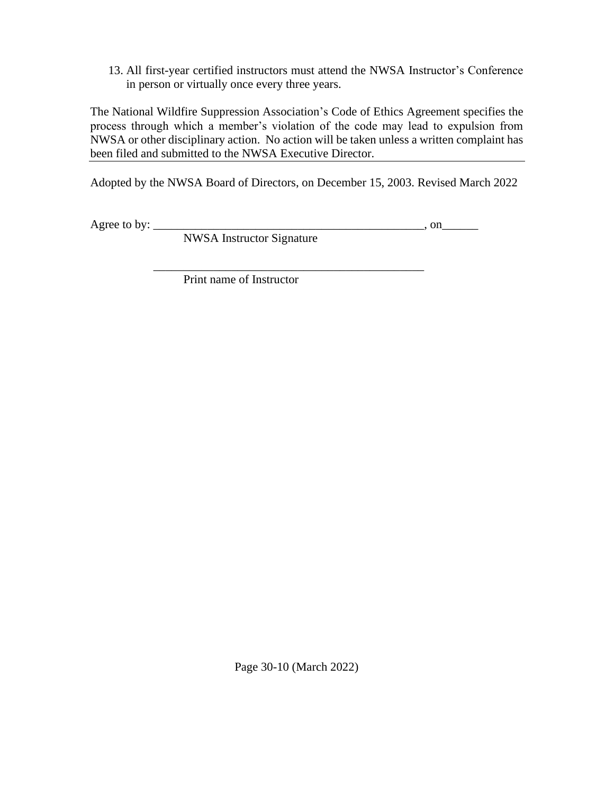13. All first-year certified instructors must attend the NWSA Instructor's Conference in person or virtually once every three years.

The National Wildfire Suppression Association's Code of Ethics Agreement specifies the process through which a member's violation of the code may lead to expulsion from NWSA or other disciplinary action. No action will be taken unless a written complaint has been filed and submitted to the NWSA Executive Director.

Adopted by the NWSA Board of Directors, on December 15, 2003. Revised March 2022

Agree to by: \_\_\_\_\_\_\_\_\_\_\_\_\_\_\_\_\_\_\_\_\_\_\_\_\_\_\_\_\_\_\_\_\_\_\_\_\_\_\_\_\_\_\_\_\_, on\_\_\_\_\_\_

NWSA Instructor Signature

 $\overline{\phantom{a}}$  ,  $\overline{\phantom{a}}$  ,  $\overline{\phantom{a}}$  ,  $\overline{\phantom{a}}$  ,  $\overline{\phantom{a}}$  ,  $\overline{\phantom{a}}$  ,  $\overline{\phantom{a}}$  ,  $\overline{\phantom{a}}$  ,  $\overline{\phantom{a}}$  ,  $\overline{\phantom{a}}$  ,  $\overline{\phantom{a}}$  ,  $\overline{\phantom{a}}$  ,  $\overline{\phantom{a}}$  ,  $\overline{\phantom{a}}$  ,  $\overline{\phantom{a}}$  ,  $\overline{\phantom{a}}$ 

Print name of Instructor

Page 30-10 (March 2022)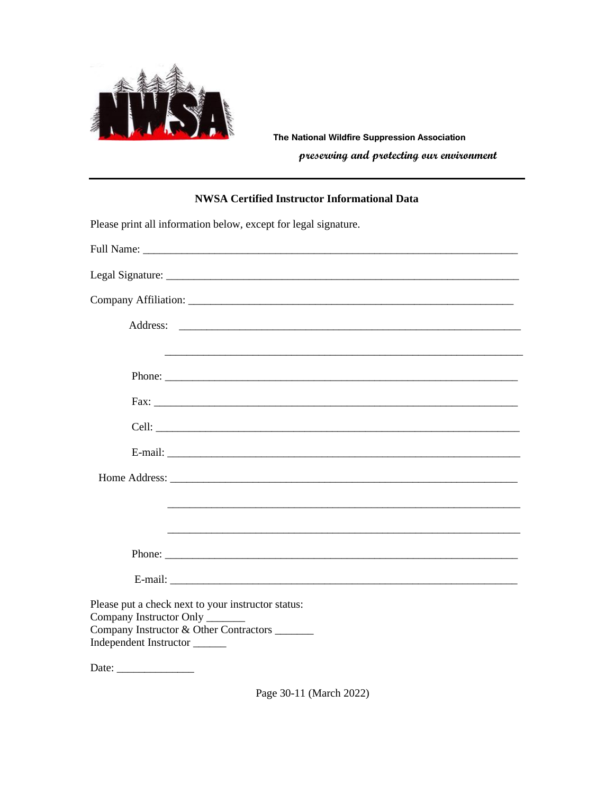

The National Wildfire Suppression Association preserving and protecting our environment

### **NWSA Certified Instructor Informational Data**

| Please print all information below, except for legal signature.                                                                                          |
|----------------------------------------------------------------------------------------------------------------------------------------------------------|
|                                                                                                                                                          |
|                                                                                                                                                          |
|                                                                                                                                                          |
|                                                                                                                                                          |
|                                                                                                                                                          |
|                                                                                                                                                          |
|                                                                                                                                                          |
|                                                                                                                                                          |
|                                                                                                                                                          |
|                                                                                                                                                          |
|                                                                                                                                                          |
|                                                                                                                                                          |
|                                                                                                                                                          |
|                                                                                                                                                          |
| Please put a check next to your instructor status:<br>Company Instructor Only<br>Company Instructor & Other Contractors ______<br>Independent Instructor |
| Date: $\_\_$                                                                                                                                             |

Page 30-11 (March 2022)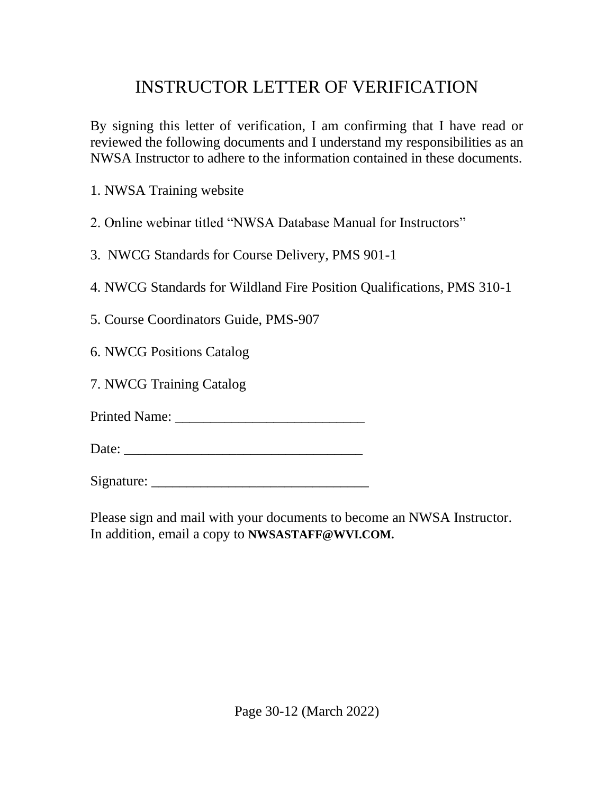# INSTRUCTOR LETTER OF VERIFICATION

By signing this letter of verification, I am confirming that I have read or reviewed the following documents and I understand my responsibilities as an NWSA Instructor to adhere to the information contained in these documents.

1. NWSA Training website

2. Online webinar titled "NWSA Database Manual for Instructors"

3. NWCG Standards for Course Delivery, PMS 901-1

4. NWCG Standards for Wildland Fire Position Qualifications, PMS 310-1

5. Course Coordinators Guide, PMS-907

6. NWCG Positions Catalog

7. NWCG Training Catalog

Printed Name: \_\_\_\_\_\_\_\_\_\_\_\_\_\_\_\_\_\_\_\_\_\_\_\_\_\_\_

Date: \_\_\_\_\_\_\_\_\_\_\_\_\_\_\_\_\_\_\_\_\_\_\_\_\_\_\_\_\_\_\_\_\_\_

Signature: \_\_\_\_\_\_\_\_\_\_\_\_\_\_\_\_\_\_\_\_\_\_\_\_\_\_\_\_\_\_\_

Please sign and mail with your documents to become an NWSA Instructor. In addition, email a copy to **NWSASTAFF@WVI.COM.**